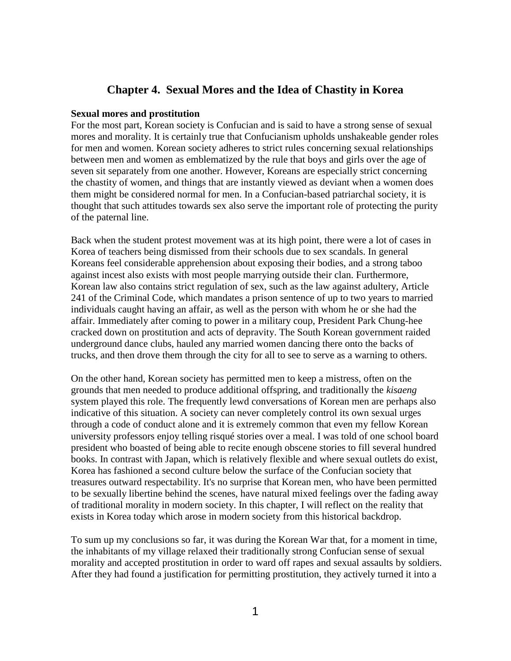# **Chapter 4. Sexual Mores and the Idea of Chastity in Korea**

### **Sexual mores and prostitution**

For the most part, Korean society is Confucian and is said to have a strong sense of sexual mores and morality. It is certainly true that Confucianism upholds unshakeable gender roles for men and women. Korean society adheres to strict rules concerning sexual relationships between men and women as emblematized by the rule that boys and girls over the age of seven sit separately from one another. However, Koreans are especially strict concerning the chastity of women, and things that are instantly viewed as deviant when a women does them might be considered normal for men. In a Confucian-based patriarchal society, it is thought that such attitudes towards sex also serve the important role of protecting the purity of the paternal line.

Back when the student protest movement was at its high point, there were a lot of cases in Korea of teachers being dismissed from their schools due to sex scandals. In general Koreans feel considerable apprehension about exposing their bodies, and a strong taboo against incest also exists with most people marrying outside their clan. Furthermore, Korean law also contains strict regulation of sex, such as the law against adultery, Article 241 of the Criminal Code, which mandates a prison sentence of up to two years to married individuals caught having an affair, as well as the person with whom he or she had the affair. Immediately after coming to power in a military coup, President Park Chung-hee cracked down on prostitution and acts of depravity. The South Korean government raided underground dance clubs, hauled any married women dancing there onto the backs of trucks, and then drove them through the city for all to see to serve as a warning to others.

On the other hand, Korean society has permitted men to keep a mistress, often on the grounds that men needed to produce additional offspring, and traditionally the *kisaeng* system played this role. The frequently lewd conversations of Korean men are perhaps also indicative of this situation. A society can never completely control its own sexual urges through a code of conduct alone and it is extremely common that even my fellow Korean university professors enjoy telling risqué stories over a meal. I was told of one school board president who boasted of being able to recite enough obscene stories to fill several hundred books. In contrast with Japan, which is relatively flexible and where sexual outlets do exist, Korea has fashioned a second culture below the surface of the Confucian society that treasures outward respectability. It's no surprise that Korean men, who have been permitted to be sexually libertine behind the scenes, have natural mixed feelings over the fading away of traditional morality in modern society. In this chapter, I will reflect on the reality that exists in Korea today which arose in modern society from this historical backdrop.

To sum up my conclusions so far, it was during the Korean War that, for a moment in time, the inhabitants of my village relaxed their traditionally strong Confucian sense of sexual morality and accepted prostitution in order to ward off rapes and sexual assaults by soldiers. After they had found a justification for permitting prostitution, they actively turned it into a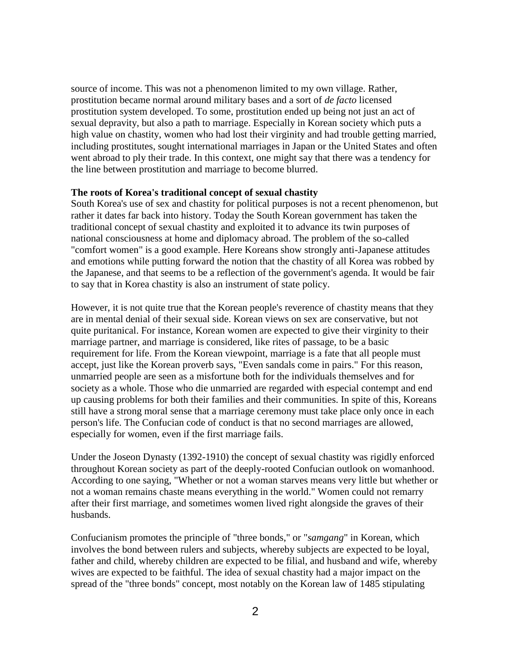source of income. This was not a phenomenon limited to my own village. Rather, prostitution became normal around military bases and a sort of *de facto* licensed prostitution system developed. To some, prostitution ended up being not just an act of sexual depravity, but also a path to marriage. Especially in Korean society which puts a high value on chastity, women who had lost their virginity and had trouble getting married, including prostitutes, sought international marriages in Japan or the United States and often went abroad to ply their trade. In this context, one might say that there was a tendency for the line between prostitution and marriage to become blurred.

## **The roots of Korea's traditional concept of sexual chastity**

South Korea's use of sex and chastity for political purposes is not a recent phenomenon, but rather it dates far back into history. Today the South Korean government has taken the traditional concept of sexual chastity and exploited it to advance its twin purposes of national consciousness at home and diplomacy abroad. The problem of the so-called "comfort women" is a good example. Here Koreans show strongly anti-Japanese attitudes and emotions while putting forward the notion that the chastity of all Korea was robbed by the Japanese, and that seems to be a reflection of the government's agenda. It would be fair to say that in Korea chastity is also an instrument of state policy.

However, it is not quite true that the Korean people's reverence of chastity means that they are in mental denial of their sexual side. Korean views on sex are conservative, but not quite puritanical. For instance, Korean women are expected to give their virginity to their marriage partner, and marriage is considered, like rites of passage, to be a basic requirement for life. From the Korean viewpoint, marriage is a fate that all people must accept, just like the Korean proverb says, "Even sandals come in pairs." For this reason, unmarried people are seen as a misfortune both for the individuals themselves and for society as a whole. Those who die unmarried are regarded with especial contempt and end up causing problems for both their families and their communities. In spite of this, Koreans still have a strong moral sense that a marriage ceremony must take place only once in each person's life. The Confucian code of conduct is that no second marriages are allowed, especially for women, even if the first marriage fails.

Under the Joseon Dynasty (1392-1910) the concept of sexual chastity was rigidly enforced throughout Korean society as part of the deeply-rooted Confucian outlook on womanhood. According to one saying, "Whether or not a woman starves means very little but whether or not a woman remains chaste means everything in the world." Women could not remarry after their first marriage, and sometimes women lived right alongside the graves of their husbands.

Confucianism promotes the principle of "three bonds," or "*samgang*" in Korean, which involves the bond between rulers and subjects, whereby subjects are expected to be loyal, father and child, whereby children are expected to be filial, and husband and wife, whereby wives are expected to be faithful. The idea of sexual chastity had a major impact on the spread of the "three bonds" concept, most notably on the Korean law of 1485 stipulating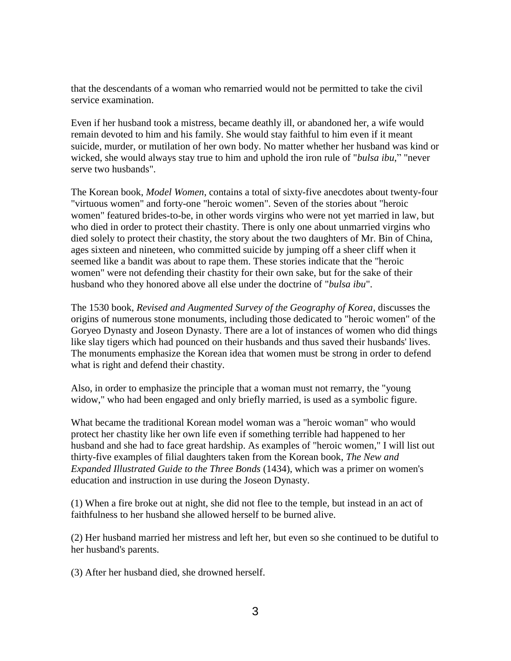that the descendants of a woman who remarried would not be permitted to take the civil service examination.

Even if her husband took a mistress, became deathly ill, or abandoned her, a wife would remain devoted to him and his family. She would stay faithful to him even if it meant suicide, murder, or mutilation of her own body. No matter whether her husband was kind or wicked, she would always stay true to him and uphold the iron rule of "*bulsa ibu*," "never serve two husbands".

The Korean book, *Model Women*, contains a total of sixty-five anecdotes about twenty-four "virtuous women" and forty-one "heroic women". Seven of the stories about "heroic women" featured brides-to-be, in other words virgins who were not yet married in law, but who died in order to protect their chastity. There is only one about unmarried virgins who died solely to protect their chastity, the story about the two daughters of Mr. Bin of China, ages sixteen and nineteen, who committed suicide by jumping off a sheer cliff when it seemed like a bandit was about to rape them. These stories indicate that the "heroic women" were not defending their chastity for their own sake, but for the sake of their husband who they honored above all else under the doctrine of "*bulsa ibu*".

The 1530 book, *Revised and Augmented Survey of the Geography of Korea*, discusses the origins of numerous stone monuments, including those dedicated to "heroic women" of the Goryeo Dynasty and Joseon Dynasty. There are a lot of instances of women who did things like slay tigers which had pounced on their husbands and thus saved their husbands' lives. The monuments emphasize the Korean idea that women must be strong in order to defend what is right and defend their chastity.

Also, in order to emphasize the principle that a woman must not remarry, the "young widow," who had been engaged and only briefly married, is used as a symbolic figure.

What became the traditional Korean model woman was a "heroic woman" who would protect her chastity like her own life even if something terrible had happened to her husband and she had to face great hardship. As examples of "heroic women," I will list out thirty-five examples of filial daughters taken from the Korean book, *The New and Expanded Illustrated Guide to the Three Bonds* (1434), which was a primer on women's education and instruction in use during the Joseon Dynasty.

(1) When a fire broke out at night, she did not flee to the temple, but instead in an act of faithfulness to her husband she allowed herself to be burned alive.

(2) Her husband married her mistress and left her, but even so she continued to be dutiful to her husband's parents.

(3) After her husband died, she drowned herself.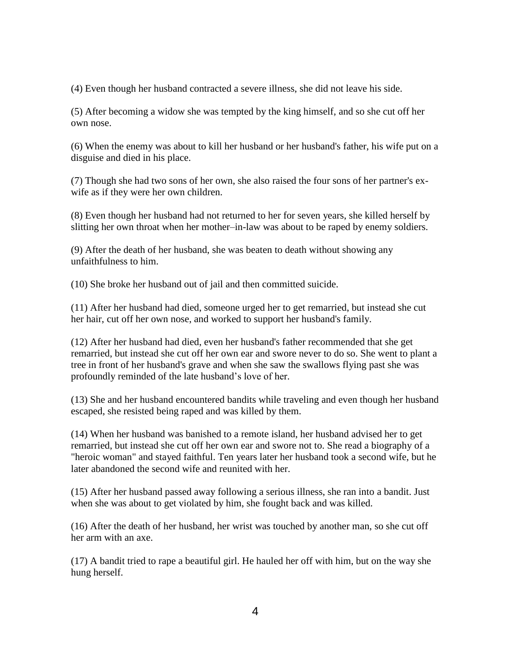(4) Even though her husband contracted a severe illness, she did not leave his side.

(5) After becoming a widow she was tempted by the king himself, and so she cut off her own nose.

(6) When the enemy was about to kill her husband or her husband's father, his wife put on a disguise and died in his place.

(7) Though she had two sons of her own, she also raised the four sons of her partner's exwife as if they were her own children.

(8) Even though her husband had not returned to her for seven years, she killed herself by slitting her own throat when her mother–in-law was about to be raped by enemy soldiers.

(9) After the death of her husband, she was beaten to death without showing any unfaithfulness to him.

(10) She broke her husband out of jail and then committed suicide.

(11) After her husband had died, someone urged her to get remarried, but instead she cut her hair, cut off her own nose, and worked to support her husband's family.

(12) After her husband had died, even her husband's father recommended that she get remarried, but instead she cut off her own ear and swore never to do so. She went to plant a tree in front of her husband's grave and when she saw the swallows flying past she was profoundly reminded of the late husband's love of her.

(13) She and her husband encountered bandits while traveling and even though her husband escaped, she resisted being raped and was killed by them.

(14) When her husband was banished to a remote island, her husband advised her to get remarried, but instead she cut off her own ear and swore not to. She read a biography of a "heroic woman" and stayed faithful. Ten years later her husband took a second wife, but he later abandoned the second wife and reunited with her.

(15) After her husband passed away following a serious illness, she ran into a bandit. Just when she was about to get violated by him, she fought back and was killed.

(16) After the death of her husband, her wrist was touched by another man, so she cut off her arm with an axe.

(17) A bandit tried to rape a beautiful girl. He hauled her off with him, but on the way she hung herself.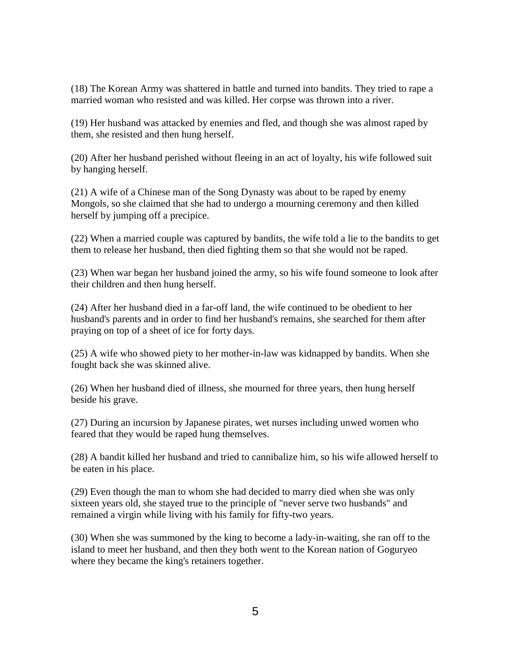(18) The Korean Army was shattered in battle and turned into bandits. They tried to rape a married woman who resisted and was killed. Her corpse was thrown into a river.

(19) Her husband was attacked by enemies and fled, and though she was almost raped by them, she resisted and then hung herself.

(20) After her husband perished without fleeing in an act of loyalty, his wife followed suit by hanging herself.

(21) A wife of a Chinese man of the Song Dynasty was about to be raped by enemy Mongols, so she claimed that she had to undergo a mourning ceremony and then killed herself by jumping off a precipice.

(22) When a married couple was captured by bandits, the wife told a lie to the bandits to get them to release her husband, then died fighting them so that she would not be raped.

(23) When war began her husband joined the army, so his wife found someone to look after their children and then hung herself.

(24) After her husband died in a far-off land, the wife continued to be obedient to her husband's parents and in order to find her husband's remains, she searched for them after praying on top of a sheet of ice for forty days.

(25) A wife who showed piety to her mother-in-law was kidnapped by bandits. When she fought back she was skinned alive.

(26) When her husband died of illness, she mourned for three years, then hung herself beside his grave.

(27) During an incursion by Japanese pirates, wet nurses including unwed women who feared that they would be raped hung themselves.

(28) A bandit killed her husband and tried to cannibalize him, so his wife allowed herself to be eaten in his place.

(29) Even though the man to whom she had decided to marry died when she was only sixteen years old, she stayed true to the principle of "never serve two husbands" and remained a virgin while living with his family for fifty-two years.

(30) When she was summoned by the king to become a lady-in-waiting, she ran off to the island to meet her husband, and then they both went to the Korean nation of Goguryeo where they became the king's retainers together.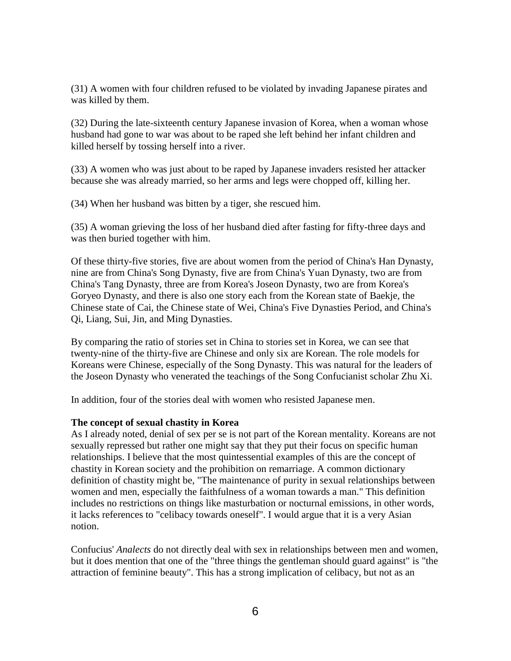(31) A women with four children refused to be violated by invading Japanese pirates and was killed by them.

(32) During the late-sixteenth century Japanese invasion of Korea, when a woman whose husband had gone to war was about to be raped she left behind her infant children and killed herself by tossing herself into a river.

(33) A women who was just about to be raped by Japanese invaders resisted her attacker because she was already married, so her arms and legs were chopped off, killing her.

(34) When her husband was bitten by a tiger, she rescued him.

(35) A woman grieving the loss of her husband died after fasting for fifty-three days and was then buried together with him.

Of these thirty-five stories, five are about women from the period of China's Han Dynasty, nine are from China's Song Dynasty, five are from China's Yuan Dynasty, two are from China's Tang Dynasty, three are from Korea's Joseon Dynasty, two are from Korea's Goryeo Dynasty, and there is also one story each from the Korean state of Baekje, the Chinese state of Cai, the Chinese state of Wei, China's Five Dynasties Period, and China's Qi, Liang, Sui, Jin, and Ming Dynasties.

By comparing the ratio of stories set in China to stories set in Korea, we can see that twenty-nine of the thirty-five are Chinese and only six are Korean. The role models for Koreans were Chinese, especially of the Song Dynasty. This was natural for the leaders of the Joseon Dynasty who venerated the teachings of the Song Confucianist scholar Zhu Xi.

In addition, four of the stories deal with women who resisted Japanese men.

# **The concept of sexual chastity in Korea**

As I already noted, denial of sex per se is not part of the Korean mentality. Koreans are not sexually repressed but rather one might say that they put their focus on specific human relationships. I believe that the most quintessential examples of this are the concept of chastity in Korean society and the prohibition on remarriage. A common dictionary definition of chastity might be, "The maintenance of purity in sexual relationships between women and men, especially the faithfulness of a woman towards a man." This definition includes no restrictions on things like masturbation or nocturnal emissions, in other words, it lacks references to "celibacy towards oneself". I would argue that it is a very Asian notion.

Confucius' *Analects* do not directly deal with sex in relationships between men and women, but it does mention that one of the "three things the gentleman should guard against" is "the attraction of feminine beauty". This has a strong implication of celibacy, but not as an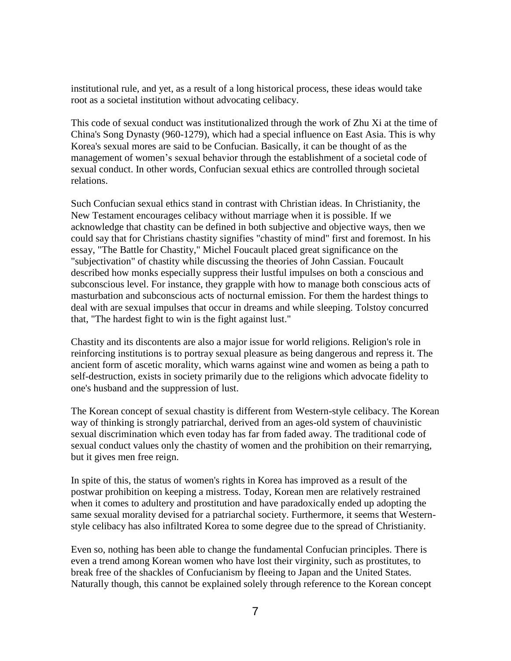institutional rule, and yet, as a result of a long historical process, these ideas would take root as a societal institution without advocating celibacy.

This code of sexual conduct was institutionalized through the work of Zhu Xi at the time of China's Song Dynasty (960-1279), which had a special influence on East Asia. This is why Korea's sexual mores are said to be Confucian. Basically, it can be thought of as the management of women's sexual behavior through the establishment of a societal code of sexual conduct. In other words, Confucian sexual ethics are controlled through societal relations.

Such Confucian sexual ethics stand in contrast with Christian ideas. In Christianity, the New Testament encourages celibacy without marriage when it is possible. If we acknowledge that chastity can be defined in both subjective and objective ways, then we could say that for Christians chastity signifies "chastity of mind" first and foremost. In his essay, "The Battle for Chastity," Michel Foucault placed great significance on the "subjectivation" of chastity while discussing the theories of John Cassian. Foucault described how monks especially suppress their lustful impulses on both a conscious and subconscious level. For instance, they grapple with how to manage both conscious acts of masturbation and subconscious acts of nocturnal emission. For them the hardest things to deal with are sexual impulses that occur in dreams and while sleeping. Tolstoy concurred that, "The hardest fight to win is the fight against lust."

Chastity and its discontents are also a major issue for world religions. Religion's role in reinforcing institutions is to portray sexual pleasure as being dangerous and repress it. The ancient form of ascetic morality, which warns against wine and women as being a path to self-destruction, exists in society primarily due to the religions which advocate fidelity to one's husband and the suppression of lust.

The Korean concept of sexual chastity is different from Western-style celibacy. The Korean way of thinking is strongly patriarchal, derived from an ages-old system of chauvinistic sexual discrimination which even today has far from faded away. The traditional code of sexual conduct values only the chastity of women and the prohibition on their remarrying, but it gives men free reign.

In spite of this, the status of women's rights in Korea has improved as a result of the postwar prohibition on keeping a mistress. Today, Korean men are relatively restrained when it comes to adultery and prostitution and have paradoxically ended up adopting the same sexual morality devised for a patriarchal society. Furthermore, it seems that Westernstyle celibacy has also infiltrated Korea to some degree due to the spread of Christianity.

Even so, nothing has been able to change the fundamental Confucian principles. There is even a trend among Korean women who have lost their virginity, such as prostitutes, to break free of the shackles of Confucianism by fleeing to Japan and the United States. Naturally though, this cannot be explained solely through reference to the Korean concept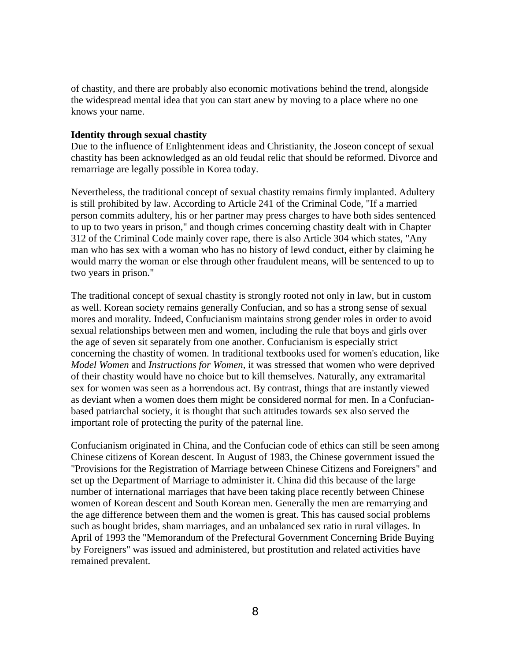of chastity, and there are probably also economic motivations behind the trend, alongside the widespread mental idea that you can start anew by moving to a place where no one knows your name.

### **Identity through sexual chastity**

Due to the influence of Enlightenment ideas and Christianity, the Joseon concept of sexual chastity has been acknowledged as an old feudal relic that should be reformed. Divorce and remarriage are legally possible in Korea today.

Nevertheless, the traditional concept of sexual chastity remains firmly implanted. Adultery is still prohibited by law. According to Article 241 of the Criminal Code, "If a married person commits adultery, his or her partner may press charges to have both sides sentenced to up to two years in prison," and though crimes concerning chastity dealt with in Chapter 312 of the Criminal Code mainly cover rape, there is also Article 304 which states, "Any man who has sex with a woman who has no history of lewd conduct, either by claiming he would marry the woman or else through other fraudulent means, will be sentenced to up to two years in prison."

The traditional concept of sexual chastity is strongly rooted not only in law, but in custom as well. Korean society remains generally Confucian, and so has a strong sense of sexual mores and morality. Indeed, Confucianism maintains strong gender roles in order to avoid sexual relationships between men and women, including the rule that boys and girls over the age of seven sit separately from one another. Confucianism is especially strict concerning the chastity of women. In traditional textbooks used for women's education, like *Model Women* and *Instructions for Women*, it was stressed that women who were deprived of their chastity would have no choice but to kill themselves. Naturally, any extramarital sex for women was seen as a horrendous act. By contrast, things that are instantly viewed as deviant when a women does them might be considered normal for men. In a Confucianbased patriarchal society, it is thought that such attitudes towards sex also served the important role of protecting the purity of the paternal line.

Confucianism originated in China, and the Confucian code of ethics can still be seen among Chinese citizens of Korean descent. In August of 1983, the Chinese government issued the "Provisions for the Registration of Marriage between Chinese Citizens and Foreigners" and set up the Department of Marriage to administer it. China did this because of the large number of international marriages that have been taking place recently between Chinese women of Korean descent and South Korean men. Generally the men are remarrying and the age difference between them and the women is great. This has caused social problems such as bought brides, sham marriages, and an unbalanced sex ratio in rural villages. In April of 1993 the "Memorandum of the Prefectural Government Concerning Bride Buying by Foreigners" was issued and administered, but prostitution and related activities have remained prevalent.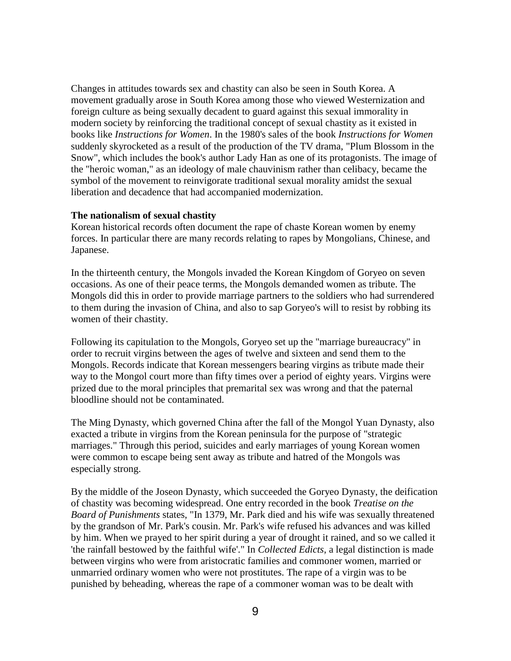Changes in attitudes towards sex and chastity can also be seen in South Korea. A movement gradually arose in South Korea among those who viewed Westernization and foreign culture as being sexually decadent to guard against this sexual immorality in modern society by reinforcing the traditional concept of sexual chastity as it existed in books like *Instructions for Women*. In the 1980's sales of the book *Instructions for Women* suddenly skyrocketed as a result of the production of the TV drama, "Plum Blossom in the Snow", which includes the book's author Lady Han as one of its protagonists. The image of the "heroic woman," as an ideology of male chauvinism rather than celibacy, became the symbol of the movement to reinvigorate traditional sexual morality amidst the sexual liberation and decadence that had accompanied modernization.

### **The nationalism of sexual chastity**

Korean historical records often document the rape of chaste Korean women by enemy forces. In particular there are many records relating to rapes by Mongolians, Chinese, and Japanese.

In the thirteenth century, the Mongols invaded the Korean Kingdom of Goryeo on seven occasions. As one of their peace terms, the Mongols demanded women as tribute. The Mongols did this in order to provide marriage partners to the soldiers who had surrendered to them during the invasion of China, and also to sap Goryeo's will to resist by robbing its women of their chastity.

Following its capitulation to the Mongols, Goryeo set up the "marriage bureaucracy" in order to recruit virgins between the ages of twelve and sixteen and send them to the Mongols. Records indicate that Korean messengers bearing virgins as tribute made their way to the Mongol court more than fifty times over a period of eighty years. Virgins were prized due to the moral principles that premarital sex was wrong and that the paternal bloodline should not be contaminated.

The Ming Dynasty, which governed China after the fall of the Mongol Yuan Dynasty, also exacted a tribute in virgins from the Korean peninsula for the purpose of "strategic marriages." Through this period, suicides and early marriages of young Korean women were common to escape being sent away as tribute and hatred of the Mongols was especially strong.

By the middle of the Joseon Dynasty, which succeeded the Goryeo Dynasty, the deification of chastity was becoming widespread. One entry recorded in the book *Treatise on the Board of Punishments* states, "In 1379, Mr. Park died and his wife was sexually threatened by the grandson of Mr. Park's cousin. Mr. Park's wife refused his advances and was killed by him. When we prayed to her spirit during a year of drought it rained, and so we called it 'the rainfall bestowed by the faithful wife'." In *Collected Edicts*, a legal distinction is made between virgins who were from aristocratic families and commoner women, married or unmarried ordinary women who were not prostitutes. The rape of a virgin was to be punished by beheading, whereas the rape of a commoner woman was to be dealt with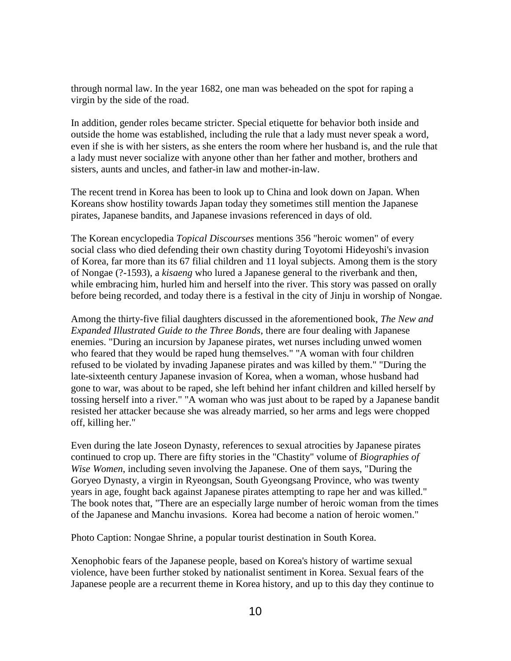through normal law. In the year 1682, one man was beheaded on the spot for raping a virgin by the side of the road.

In addition, gender roles became stricter. Special etiquette for behavior both inside and outside the home was established, including the rule that a lady must never speak a word, even if she is with her sisters, as she enters the room where her husband is, and the rule that a lady must never socialize with anyone other than her father and mother, brothers and sisters, aunts and uncles, and father-in law and mother-in-law.

The recent trend in Korea has been to look up to China and look down on Japan. When Koreans show hostility towards Japan today they sometimes still mention the Japanese pirates, Japanese bandits, and Japanese invasions referenced in days of old.

The Korean encyclopedia *Topical Discourses* mentions 356 "heroic women" of every social class who died defending their own chastity during Toyotomi Hideyoshi's invasion of Korea, far more than its 67 filial children and 11 loyal subjects. Among them is the story of Nongae (?-1593), a *kisaeng* who lured a Japanese general to the riverbank and then, while embracing him, hurled him and herself into the river. This story was passed on orally before being recorded, and today there is a festival in the city of Jinju in worship of Nongae.

Among the thirty-five filial daughters discussed in the aforementioned book, *The New and Expanded Illustrated Guide to the Three Bonds*, there are four dealing with Japanese enemies. "During an incursion by Japanese pirates, wet nurses including unwed women who feared that they would be raped hung themselves." "A woman with four children refused to be violated by invading Japanese pirates and was killed by them." "During the late-sixteenth century Japanese invasion of Korea, when a woman, whose husband had gone to war, was about to be raped, she left behind her infant children and killed herself by tossing herself into a river." "A woman who was just about to be raped by a Japanese bandit resisted her attacker because she was already married, so her arms and legs were chopped off, killing her."

Even during the late Joseon Dynasty, references to sexual atrocities by Japanese pirates continued to crop up. There are fifty stories in the "Chastity" volume of *Biographies of Wise Women*, including seven involving the Japanese. One of them says, "During the Goryeo Dynasty, a virgin in Ryeongsan, South Gyeongsang Province, who was twenty years in age, fought back against Japanese pirates attempting to rape her and was killed." The book notes that, "There are an especially large number of heroic woman from the times of the Japanese and Manchu invasions. Korea had become a nation of heroic women."

Photo Caption: Nongae Shrine, a popular tourist destination in South Korea.

Xenophobic fears of the Japanese people, based on Korea's history of wartime sexual violence, have been further stoked by nationalist sentiment in Korea. Sexual fears of the Japanese people are a recurrent theme in Korea history, and up to this day they continue to